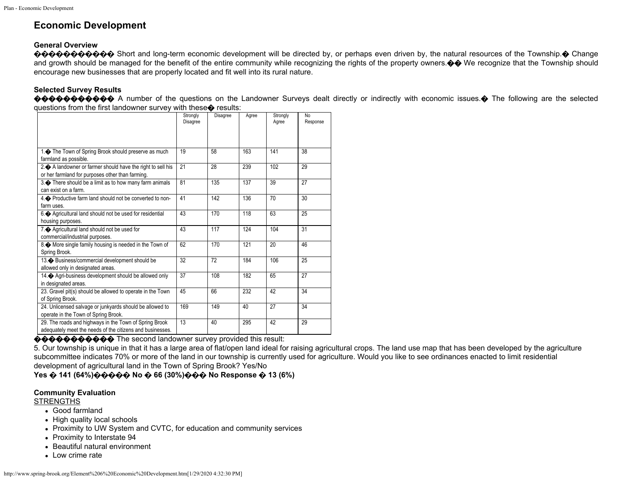# **Economic Development**

# **General Overview**

**�����������** Short and long-term economic development will be directed by, or perhaps even driven by, the natural resources of the Township.� Change and growth should be managed for the benefit of the entire community while recognizing the rights of the property owners. $\diamondsuit \diamondsuit$  We recognize that the Township should encourage new businesses that are properly located and fit well into its rural nature.

## **Selected Survey Results**

����������� A number of the questions on the Landowner Surveys dealt directly or indirectly with economic issues.� The following are the selected questions from the first landowner survey with these� results:

|                                                                                                                     | Strongly<br>Disagree | <b>Disagree</b> | Agree | Strongly<br>Agree | No<br>Response |
|---------------------------------------------------------------------------------------------------------------------|----------------------|-----------------|-------|-------------------|----------------|
| 1. The Town of Spring Brook should preserve as much<br>farmland as possible.                                        | 19                   | 58              | 163   | 141               | 38             |
| 2. A landowner or farmer should have the right to sell his<br>or her farmland for purposes other than farming.      | 21                   | 28              | 239   | 102               | 29             |
| 3. There should be a limit as to how many farm animals<br>can exist on a farm.                                      | 81                   | 135             | 137   | 39                | 27             |
| 4. Productive farm land should not be converted to non-<br>farm uses.                                               | 41                   | 142             | 136   | 70                | 30             |
| 6. Agricultural land should not be used for residential<br>housing purposes.                                        | 43                   | 170             | 118   | 63                | 25             |
| 7. Agricultural land should not be used for<br>commercial/industrial purposes.                                      | 43                   | 117             | 124   | 104               | 31             |
| 8. • More single family housing is needed in the Town of<br>Spring Brook.                                           | 62                   | 170             | 121   | 20                | 46             |
| 13. Business/commercial development should be<br>allowed only in designated areas.                                  | 32                   | 72              | 184   | 106               | 25             |
| 14. Agri-business development should be allowed only<br>in designated areas.                                        | 37                   | 108             | 182   | 65                | 27             |
| 23. Gravel pit(s) should be allowed to operate in the Town<br>of Spring Brook.                                      | 45                   | 66              | 232   | 42                | 34             |
| 24. Unlicensed salvage or junkyards should be allowed to<br>operate in the Town of Spring Brook.                    | 169                  | 149             | 40    | 27                | 34             |
| 29. The roads and highways in the Town of Spring Brook<br>adequately meet the needs of the citizens and businesses. | 13                   | 40              | 295   | 42                | 29             |

## ����������� The second landowner survey provided this result:

5. Our township is unique in that it has a large area of flat/open land ideal for raising agricultural crops. The land use map that has been developed by the agriculture subcommittee indicates 70% or more of the land in our township is currently used for agriculture. Would you like to see ordinances enacted to limit residential development of agricultural land in the Town of Spring Brook? Yes/No

**Yes � 141 (64%)����� No � 66 (30%)��� No Response � 13 (6%)**

#### **Community Evaluation**

# **STRENGTHS**

- Good farmland
- High quality local schools
- Proximity to UW System and CVTC, for education and community services
- Proximity to Interstate 94
- Beautiful natural environment
- Low crime rate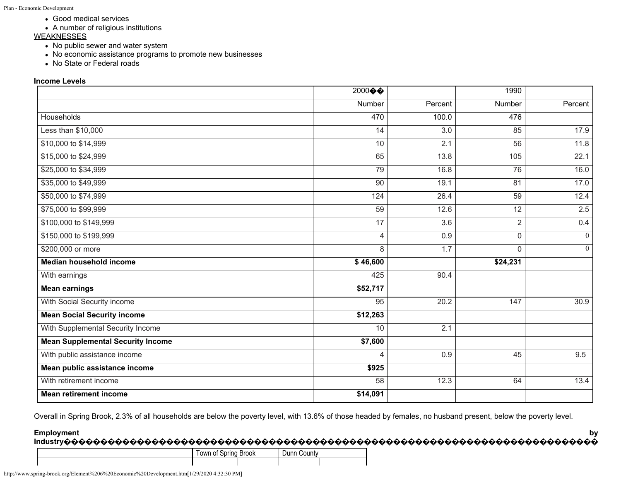- Good medical services
- A number of religious institutions

# **WEAKNESSES**

- No public sewer and water system
- No economic assistance programs to promote new businesses
- No State or Federal roads

# **Income Levels**

|                                          | $2000 \, \circ \, \bullet$ |                  | 1990            |          |
|------------------------------------------|----------------------------|------------------|-----------------|----------|
|                                          | Number                     | Percent          | Number          | Percent  |
| <b>Households</b>                        | 470                        | 100.0            | 476             |          |
| Less than \$10,000                       | 14                         | 3.0              | 85              | 17.9     |
| \$10,000 to \$14,999                     | 10                         | 2.1              | 56              | 11.8     |
| \$15,000 to \$24,999                     | 65                         | 13.8             | 105             | 22.1     |
| \$25,000 to \$34,999                     | 79                         | 16.8             | 76              | 16.0     |
| \$35,000 to \$49,999                     | 90                         | 19.1             | 81              | 17.0     |
| \$50,000 to \$74,999                     | 124                        | 26.4             | 59              | 12.4     |
| \$75,000 to \$99,999                     | 59                         | 12.6             | $\overline{12}$ | 2.5      |
| \$100,000 to \$149,999                   | $\overline{17}$            | $\overline{3.6}$ | $\overline{2}$  | 0.4      |
| \$150,000 to \$199,999                   | 4                          | 0.9              | $\Omega$        | $\theta$ |
| \$200,000 or more                        | 8                          | 1.7              | $\Omega$        | $\theta$ |
| Median household income                  | \$46,600                   |                  | \$24,231        |          |
| With earnings                            | 425                        | 90.4             |                 |          |
| <b>Mean earnings</b>                     | \$52,717                   |                  |                 |          |
| With Social Security income              | 95                         | 20.2             | 147             | 30.9     |
| <b>Mean Social Security income</b>       | \$12,263                   |                  |                 |          |
| With Supplemental Security Income        | 10                         | 2.1              |                 |          |
| <b>Mean Supplemental Security Income</b> | \$7,600                    |                  |                 |          |
| With public assistance income            | 4                          | 0.9              | 45              | 9.5      |
| Mean public assistance income            | \$925                      |                  |                 |          |
| With retirement income                   | 58                         | 12.3             | 64              | 13.4     |
| <b>Mean retirement income</b>            | \$14,091                   |                  |                 |          |

Overall in Spring Brook, 2.3% of all households are below the poverty level, with 13.6% of those headed by females, no husband present, below the poverty level.

#### Employment by

| .<br>. |                 |         |                | ________ |
|--------|-----------------|---------|----------------|----------|
|        | I own of Spring | : Brook | ∶ountv<br>Dunn |          |
|        |                 |         |                |          |

http://www.spring-brook.org/Element%206%20Economic%20Development.htm[1/29/2020 4:32:30 PM]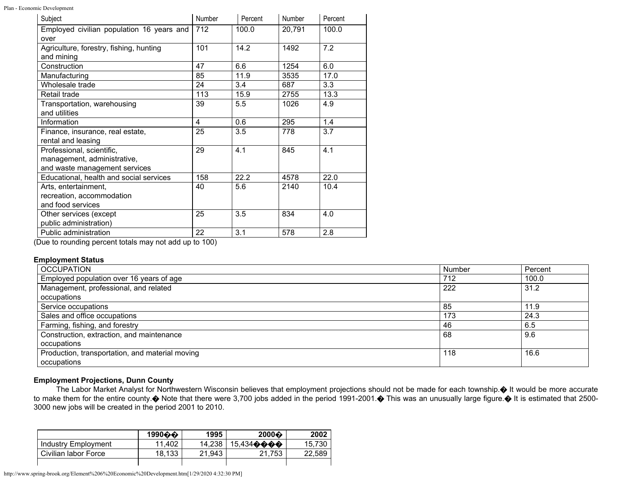Plan - Economic Development

| Subject                                   | Number | Percent | Number | Percent |
|-------------------------------------------|--------|---------|--------|---------|
| Employed civilian population 16 years and | 712    | 100.0   | 20,791 | 100.0   |
| over                                      |        |         |        |         |
| Agriculture, forestry, fishing, hunting   | 101    | 14.2    | 1492   | 7.2     |
| and mining                                |        |         |        |         |
| Construction                              | 47     | 6.6     | 1254   | 6.0     |
| Manufacturing                             | 85     | 11.9    | 3535   | 17.0    |
| Wholesale trade                           | 24     | 3.4     | 687    | 3.3     |
| Retail trade                              | 113    | 15.9    | 2755   | 13.3    |
| Transportation, warehousing               | 39     | 5.5     | 1026   | 4.9     |
| and utilities                             |        |         |        |         |
| Information                               | 4      | 0.6     | 295    | 1.4     |
| Finance, insurance, real estate,          | 25     | 3.5     | 778    | 3.7     |
| rental and leasing                        |        |         |        |         |
| Professional, scientific,                 | 29     | 4.1     | 845    | 4.1     |
| management, administrative,               |        |         |        |         |
| and waste management services             |        |         |        |         |
| Educational, health and social services   | 158    | 22.2    | 4578   | 22.0    |
| Arts, entertainment,                      | 40     | 5.6     | 2140   | 10.4    |
| recreation, accommodation                 |        |         |        |         |
| and food services                         |        |         |        |         |
| Other services (except                    | 25     | 3.5     | 834    | 4.0     |
| public administration)                    |        |         |        |         |
| Public administration                     | 22     | 3.1     | 578    | 2.8     |

(Due to rounding percent totals may not add up to 100)

#### **Employment Status**

| <b>OCCUPATION</b>                               | Number | Percent |
|-------------------------------------------------|--------|---------|
| Employed population over 16 years of age        | 712    | 100.0   |
| Management, professional, and related           | 222    | 31.2    |
| occupations                                     |        |         |
| Service occupations                             | -85    | 11.9    |
| Sales and office occupations                    | 173    | 24.3    |
| Farming, fishing, and forestry                  | -46    | 6.5     |
| Construction, extraction, and maintenance       | 68     | 9.6     |
| occupations                                     |        |         |
| Production, transportation, and material moving | 118    | 16.6    |
| occupations                                     |        |         |

## **Employment Projections, Dunn County**

The Labor Market Analyst for Northwestern Wisconsin believes that employment projections should not be made for each township.� It would be more accurate to make them for the entire county. Whote that there were 3,700 jobs added in the period 1991-2001. This was an unusually large figure. It is estimated that 2500-3000 new jobs will be created in the period 2001 to 2010.

|                      | 1990 $\hat{\boldsymbol{\omega}}$ | 1995   | $2000 \odot$ | 2002   |
|----------------------|----------------------------------|--------|--------------|--------|
| Industry Employment  | 11.402                           | 14.238 | 15.434����   | 15.730 |
| Civilian labor Force | 18.133                           | 21.943 | 21.753       | 22.589 |
|                      |                                  |        |              |        |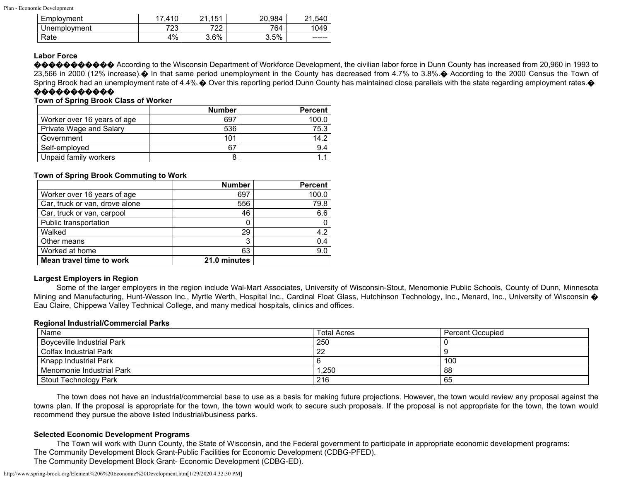| Employment   | .410      | .151<br>ີ 1<br>c | 20.984 | .540<br>ິີ |
|--------------|-----------|------------------|--------|------------|
| Unemployment | フつつ<br>ںے | 700<br>22        | 764    | 1049       |
| Rate         | 4%        | 3.6%             | 3.5%   | ------     |

#### **Labor Force**

�������� According to the Wisconsin Department of Workforce Development, the civilian labor force in Dunn County has increased from 20,960 in 1993 to 23,566 in 2000 (12% increase).  $\bullet$  In that same period unemployment in the County has decreased from 4.7% to 3.8%.  $\bullet$  According to the 2000 Census the Town of Spring Brook had an unemployment rate of 4.4%. $\odot$  Over this reporting period Dunn County has maintained close parallels with the state regarding employment rates. $\odot$ 

## �����������

# **Town of Spring Brook Class of Worker**

|                             | <b>Number</b> | <b>Percent</b> |
|-----------------------------|---------------|----------------|
| Worker over 16 years of age | 697           | 100.0          |
| Private Wage and Salary     | 536           | 75.3           |
| Government                  | 101           | 14.2           |
| Self-employed               | 67            | 9.4            |
| Unpaid family workers       |               |                |

#### **Town of Spring Brook Commuting to Work**

|                                | <b>Number</b> | <b>Percent</b> |
|--------------------------------|---------------|----------------|
| Worker over 16 years of age    | 697           | 100.0          |
| Car, truck or van, drove alone | 556           | 79.8           |
| Car, truck or van, carpool     | 46            | 6.6            |
| Public transportation          |               |                |
| Walked                         | 29            | 4.2            |
| Other means                    | 3             | 0.4            |
| Worked at home                 | 63            | 9.0            |
| Mean travel time to work       | 21.0 minutes  |                |

## **Largest Employers in Region**

Some of the larger employers in the region include Wal-Mart Associates, University of Wisconsin-Stout, Menomonie Public Schools, County of Dunn, Minnesota Mining and Manufacturing, Hunt-Wesson Inc., Myrtle Werth, Hospital Inc., Cardinal Float Glass, Hutchinson Technology, Inc., Menard, Inc., University of Wisconsin  $\diamond$ Eau Claire, Chippewa Valley Technical College, and many medical hospitals, clinics and offices.

#### **Regional Industrial/Commercial Parks**

| Name                         | <b>Total Acres</b> | Percent Occupied |
|------------------------------|--------------------|------------------|
| Boyceville Industrial Park   | 250                |                  |
| Colfax Industrial Park       | 22                 |                  |
| <b>Knapp Industrial Park</b> |                    | 100              |
| Menomonie Industrial Park    | ,250               | 88               |
| Stout Technology Park        | 216                | 65               |

The town does not have an industrial/commercial base to use as a basis for making future projections. However, the town would review any proposal against the towns plan. If the proposal is appropriate for the town, the town would work to secure such proposals. If the proposal is not appropriate for the town, the town would recommend they pursue the above listed Industrial/business parks.

## **Selected Economic Development Programs**

The Town will work with Dunn County, the State of Wisconsin, and the Federal government to participate in appropriate economic development programs: The Community Development Block Grant-Public Facilities for Economic Development (CDBG-PFED).

The Community Development Block Grant- Economic Development (CDBG-ED).